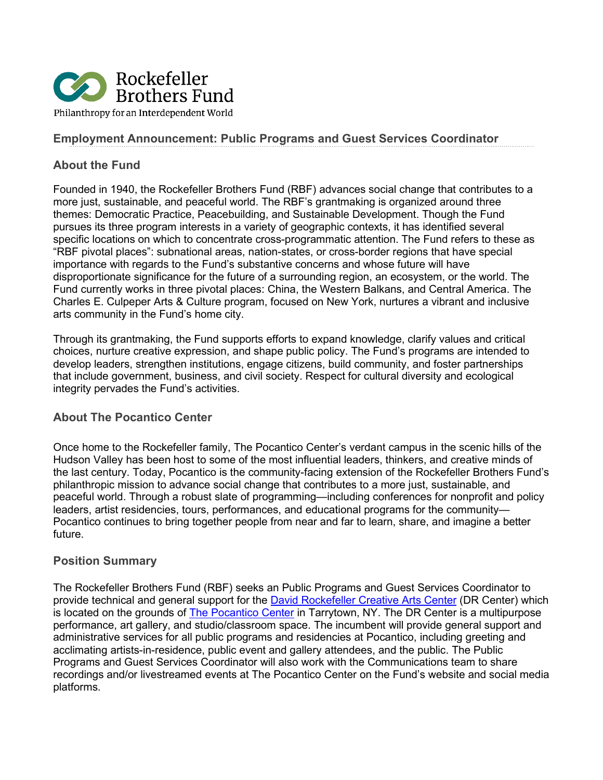

## **Employment Announcement: Public Programs and Guest Services Coordinator**

### **About the Fund**

Founded in 1940, the Rockefeller Brothers Fund (RBF) advances social change that contributes to a more just, sustainable, and peaceful world. The RBF's grantmaking is organized around three themes: Democratic Practice, Peacebuilding, and Sustainable Development. Though the Fund pursues its three program interests in a variety of geographic contexts, it has identified several specific locations on which to concentrate cross-programmatic attention. The Fund refers to these as "RBF pivotal places": subnational areas, nation-states, or cross-border regions that have special importance with regards to the Fund's substantive concerns and whose future will have disproportionate significance for the future of a surrounding region, an ecosystem, or the world. The Fund currently works in three pivotal places: China, the Western Balkans, and Central America. The Charles E. Culpeper Arts & Culture program, focused on New York, nurtures a vibrant and inclusive arts community in the Fund's home city.

Through its grantmaking, the Fund supports efforts to expand knowledge, clarify values and critical choices, nurture creative expression, and shape public policy. The Fund's programs are intended to develop leaders, strengthen institutions, engage citizens, build community, and foster partnerships that include government, business, and civil society. Respect for cultural diversity and ecological integrity pervades the Fund's activities.

#### **About The Pocantico Center**

Once home to the Rockefeller family, The Pocantico Center's verdant campus in the scenic hills of the Hudson Valley has been host to some of the most influential leaders, thinkers, and creative minds of the last century. Today, Pocantico is the community-facing extension of the Rockefeller Brothers Fund's philanthropic mission to advance social change that contributes to a more just, sustainable, and peaceful world. Through a robust slate of programming—including conferences for nonprofit and policy leaders, artist residencies, tours, performances, and educational programs for the community— Pocantico continues to bring together people from near and far to learn, share, and imagine a better future.

#### **Position Summary**

The Rockefeller Brothers Fund (RBF) seeks an Public Programs and Guest Services Coordinator to provide technical and general support for the [David Rockefeller Creative Arts Center](https://www.rbf.org/news/new-david-rockefeller-creative-arts-center-will-nurture-arts-westchester-and-world) (DR Center) which is located on the grounds of [The Pocantico Center](https://www.rbf.org/pocantico) in Tarrytown, NY. The DR Center is a multipurpose performance, art gallery, and studio/classroom space. The incumbent will provide general support and administrative services for all public programs and residencies at Pocantico, including greeting and acclimating artists-in-residence, public event and gallery attendees, and the public. The Public Programs and Guest Services Coordinator will also work with the Communications team to share recordings and/or livestreamed events at The Pocantico Center on the Fund's website and social media platforms.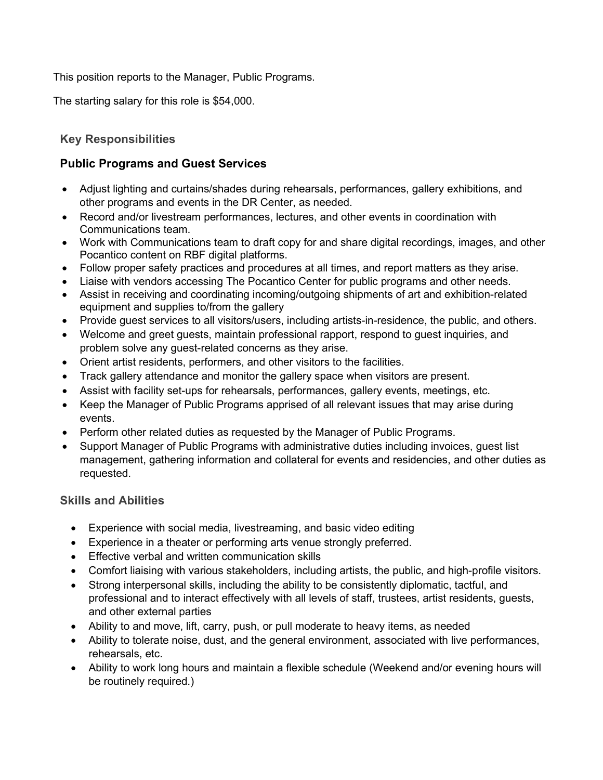This position reports to the Manager, Public Programs.

The starting salary for this role is \$54,000.

# **Key Responsibilities**

# **Public Programs and Guest Services**

- Adjust lighting and curtains/shades during rehearsals, performances, gallery exhibitions, and other programs and events in the DR Center, as needed.
- Record and/or livestream performances, lectures, and other events in coordination with Communications team.
- Work with Communications team to draft copy for and share digital recordings, images, and other Pocantico content on RBF digital platforms.
- Follow proper safety practices and procedures at all times, and report matters as they arise.
- Liaise with vendors accessing The Pocantico Center for public programs and other needs.
- Assist in receiving and coordinating incoming/outgoing shipments of art and exhibition-related equipment and supplies to/from the gallery
- Provide guest services to all visitors/users, including artists-in-residence, the public, and others.
- Welcome and greet guests, maintain professional rapport, respond to guest inquiries, and problem solve any guest-related concerns as they arise.
- Orient artist residents, performers, and other visitors to the facilities.
- Track gallery attendance and monitor the gallery space when visitors are present.
- Assist with facility set-ups for rehearsals, performances, gallery events, meetings, etc.
- Keep the Manager of Public Programs apprised of all relevant issues that may arise during events.
- Perform other related duties as requested by the Manager of Public Programs.
- Support Manager of Public Programs with administrative duties including invoices, guest list management, gathering information and collateral for events and residencies, and other duties as requested.

# **Skills and Abilities**

- Experience with social media, livestreaming, and basic video editing
- Experience in a theater or performing arts venue strongly preferred.
- Effective verbal and written communication skills
- Comfort liaising with various stakeholders, including artists, the public, and high-profile visitors.
- Strong interpersonal skills, including the ability to be consistently diplomatic, tactful, and professional and to interact effectively with all levels of staff, trustees, artist residents, guests, and other external parties
- Ability to and move, lift, carry, push, or pull moderate to heavy items, as needed
- Ability to tolerate noise, dust, and the general environment, associated with live performances, rehearsals, etc.
- Ability to work long hours and maintain a flexible schedule (Weekend and/or evening hours will be routinely required.)